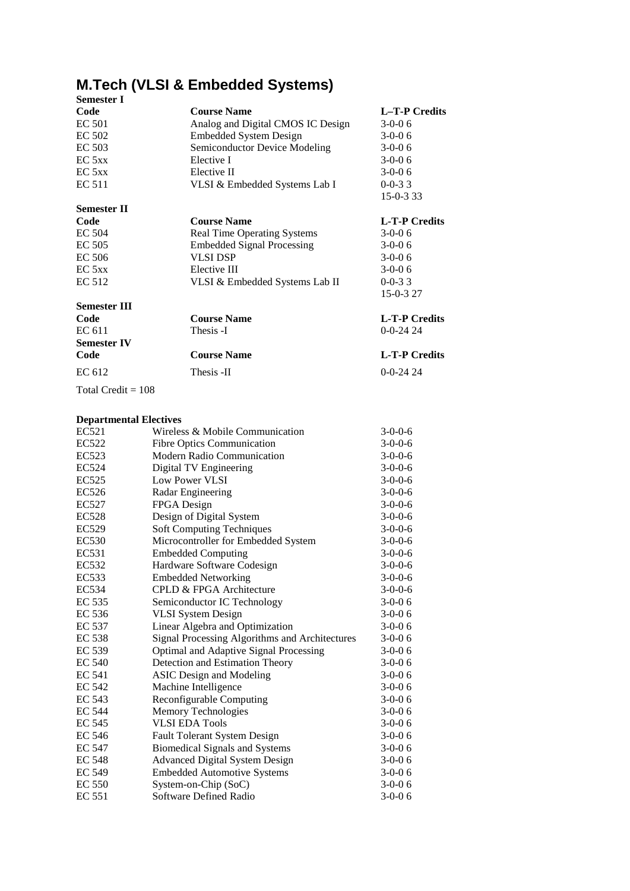# **M.Tech (VLSI & Embedded Systems)**

| <b>Course Name</b>                | L-T-P Credits                      |
|-----------------------------------|------------------------------------|
| Analog and Digital CMOS IC Design | $3-0-0.6$                          |
| <b>Embedded System Design</b>     | $3-0-0.6$                          |
| Semiconductor Device Modeling     | $3-0-06$                           |
| Elective I                        | $3-0-06$                           |
| Elective II                       | $3-0-0.6$                          |
| VLSI & Embedded Systems Lab I     | $0 - 0 - 33$                       |
|                                   | 15-0-333                           |
|                                   |                                    |
| <b>Course Name</b>                | <b>L-T-P Credits</b>               |
|                                   | $3-0-0.6$                          |
| <b>Embedded Signal Processing</b> | $3-0-06$                           |
| <b>VLSI DSP</b>                   | $3-0-06$                           |
| Elective III                      | $3-0-0.6$                          |
| VLSI & Embedded Systems Lab II    | $0-0-33$                           |
|                                   | 15-0-3 27                          |
|                                   |                                    |
| <b>Course Name</b>                | <b>L-T-P Credits</b>               |
| Thesis -I                         | $0 - 0 - 24$ 24                    |
|                                   |                                    |
| <b>Course Name</b>                | <b>L-T-P Credits</b>               |
| Thesis -II                        | $0 - 0 - 24$ 24                    |
|                                   |                                    |
|                                   | <b>Real Time Operating Systems</b> |

## **Departmental Electives**

| EC521         | Wireless & Mobile Communication                | $3-0-0-6$ |
|---------------|------------------------------------------------|-----------|
| EC522         | <b>Fibre Optics Communication</b>              | $3-0-0-6$ |
| EC523         | <b>Modern Radio Communication</b>              | $3-0-0-6$ |
| EC524         | Digital TV Engineering                         | $3-0-0-6$ |
| EC525         | Low Power VLSI                                 | $3-0-0-6$ |
| EC526         | Radar Engineering                              | $3-0-0-6$ |
| EC527         | FPGA Design                                    | $3-0-0-6$ |
| <b>EC528</b>  | Design of Digital System                       | $3-0-0-6$ |
| EC529         | <b>Soft Computing Techniques</b>               | $3-0-0-6$ |
| <b>EC530</b>  | Microcontroller for Embedded System            | $3-0-0-6$ |
| EC531         | <b>Embedded Computing</b>                      | $3-0-0-6$ |
| EC532         | Hardware Software Codesign                     | $3-0-0-6$ |
| EC533         | <b>Embedded Networking</b>                     | $3-0-0-6$ |
| EC534         | CPLD & FPGA Architecture                       | $3-0-0-6$ |
| EC 535        | Semiconductor IC Technology                    | $3-0-06$  |
| EC 536        | <b>VLSI System Design</b>                      | $3-0-06$  |
| EC 537        | Linear Algebra and Optimization                | $3-0-06$  |
| EC 538        | Signal Processing Algorithms and Architectures | $3-0-06$  |
| EC 539        | Optimal and Adaptive Signal Processing         | $3-0-06$  |
| <b>EC 540</b> | Detection and Estimation Theory                | $3-0-06$  |
| EC 541        | <b>ASIC</b> Design and Modeling                | $3-0-06$  |
| EC 542        | Machine Intelligence                           | $3-0-06$  |
| EC 543        | Reconfigurable Computing                       | $3-0-06$  |
| <b>EC 544</b> | Memory Technologies                            | $3-0-06$  |
| <b>EC 545</b> | <b>VLSI EDA Tools</b>                          | $3-0-06$  |
| <b>EC 546</b> | <b>Fault Tolerant System Design</b>            | $3-0-06$  |
| <b>EC 547</b> | <b>Biomedical Signals and Systems</b>          | $3-0-06$  |
| <b>EC 548</b> | <b>Advanced Digital System Design</b>          | $3-0-06$  |
| EC 549        | <b>Embedded Automotive Systems</b>             | $3-0-06$  |
| <b>EC 550</b> | System-on-Chip (SoC)                           | $3-0-06$  |
| <b>EC 551</b> | Software Defined Radio                         | $3-0-06$  |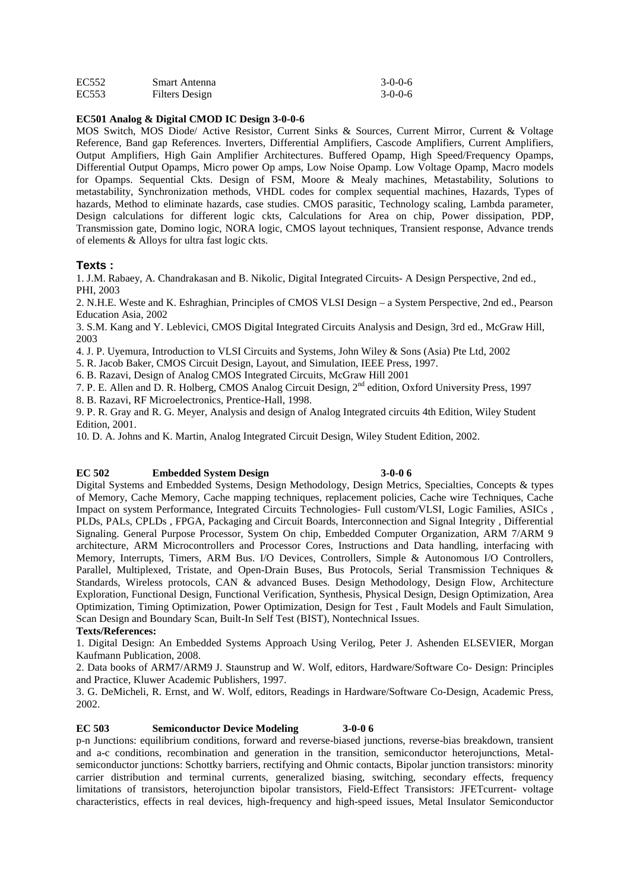| EC <sub>552</sub> | Smart Antenna  | $3-0-0-6$ |
|-------------------|----------------|-----------|
| EC <sub>553</sub> | Filters Design | $3-0-0-6$ |

## **EC501 Analog & Digital CMOD IC Design 3-0-0-6**

MOS Switch, MOS Diode/ Active Resistor, Current Sinks & Sources, Current Mirror, Current & Voltage Reference, Band gap References. Inverters, Differential Amplifiers, Cascode Amplifiers, Current Amplifiers, Output Amplifiers, High Gain Amplifier Architectures. Buffered Opamp, High Speed/Frequency Opamps, Differential Output Opamps, Micro power Op amps, Low Noise Opamp. Low Voltage Opamp, Macro models for Opamps. Sequential Ckts. Design of FSM, Moore & Mealy machines, Metastability, Solutions to metastability, Synchronization methods, VHDL codes for complex sequential machines, Hazards, Types of hazards, Method to eliminate hazards, case studies. CMOS parasitic, Technology scaling, Lambda parameter, Design calculations for different logic ckts, Calculations for Area on chip, Power dissipation, PDP, Transmission gate, Domino logic, NORA logic, CMOS layout techniques, Transient response, Advance trends of elements & Alloys for ultra fast logic ckts.

## **Texts :**

1. J.M. Rabaey, A. Chandrakasan and B. Nikolic, Digital Integrated Circuits- A Design Perspective, 2nd ed., PHI, 2003

2. N.H.E. Weste and K. Eshraghian, Principles of CMOS VLSI Design – a System Perspective, 2nd ed., Pearson Education Asia, 2002

3. S.M. Kang and Y. Leblevici, CMOS Digital Integrated Circuits Analysis and Design, 3rd ed., McGraw Hill, 2003

4. J. P. Uyemura, Introduction to VLSI Circuits and Systems, John Wiley & Sons (Asia) Pte Ltd, 2002

5. R. Jacob Baker, CMOS Circuit Design, Layout, and Simulation, IEEE Press, 1997.

6. B. Razavi, Design of Analog CMOS Integrated Circuits, McGraw Hill 2001

7. P. E. Allen and D. R. Holberg, CMOS Analog Circuit Design, 2<sup>nd</sup> edition, Oxford University Press, 1997

8. B. Razavi, RF Microelectronics, Prentice-Hall, 1998.

9. P. R. Gray and R. G. Meyer, Analysis and design of Analog Integrated circuits 4th Edition, Wiley Student Edition, 2001.

10. D. A. Johns and K. Martin, Analog Integrated Circuit Design, Wiley Student Edition, 2002.

## **EC 502 Embedded System Design 3-0-0 6**

Digital Systems and Embedded Systems, Design Methodology, Design Metrics, Specialties, Concepts & types of Memory, Cache Memory, Cache mapping techniques, replacement policies, Cache wire Techniques, Cache Impact on system Performance, Integrated Circuits Technologies- Full custom/VLSI, Logic Families, ASICs , PLDs, PALs, CPLDs , FPGA, Packaging and Circuit Boards, Interconnection and Signal Integrity , Differential Signaling. General Purpose Processor, System On chip, Embedded Computer Organization, ARM 7/ARM 9 architecture, ARM Microcontrollers and Processor Cores, Instructions and Data handling, interfacing with Memory, Interrupts, Timers, ARM Bus. I/O Devices, Controllers, Simple & Autonomous I/O Controllers, Parallel, Multiplexed, Tristate, and Open-Drain Buses, Bus Protocols, Serial Transmission Techniques & Standards, Wireless protocols, CAN & advanced Buses. Design Methodology, Design Flow, Architecture Exploration, Functional Design, Functional Verification, Synthesis, Physical Design, Design Optimization, Area Optimization, Timing Optimization, Power Optimization, Design for Test , Fault Models and Fault Simulation, Scan Design and Boundary Scan, Built-In Self Test (BIST), Nontechnical Issues.

## **Texts/References:**

1. Digital Design: An Embedded Systems Approach Using Verilog, Peter J. Ashenden ELSEVIER, Morgan Kaufmann Publication, 2008.

2. Data books of ARM7/ARM9 J. Staunstrup and W. Wolf, editors, Hardware/Software Co- Design: Principles and Practice, Kluwer Academic Publishers, 1997.

3. G. DeMicheli, R. Ernst, and W. Wolf, editors, Readings in Hardware/Software Co-Design, Academic Press, 2002.

## **EC 503 Semiconductor Device Modeling 3-0-0 6**

p-n Junctions: equilibrium conditions, forward and reverse-biased junctions, reverse-bias breakdown, transient and a-c conditions, recombination and generation in the transition, semiconductor heterojunctions, Metal semiconductor junctions: Schottky barriers, rectifying and Ohmic contacts, Bipolar junction transistors: minority carrier distribution and terminal currents, generalized biasing, switching, secondary effects, frequency limitations of transistors, heterojunction bipolar transistors, Field-Effect Transistors: JFETcurrent- voltage characteristics, effects in real devices, high-frequency and high-speed issues, Metal Insulator Semiconductor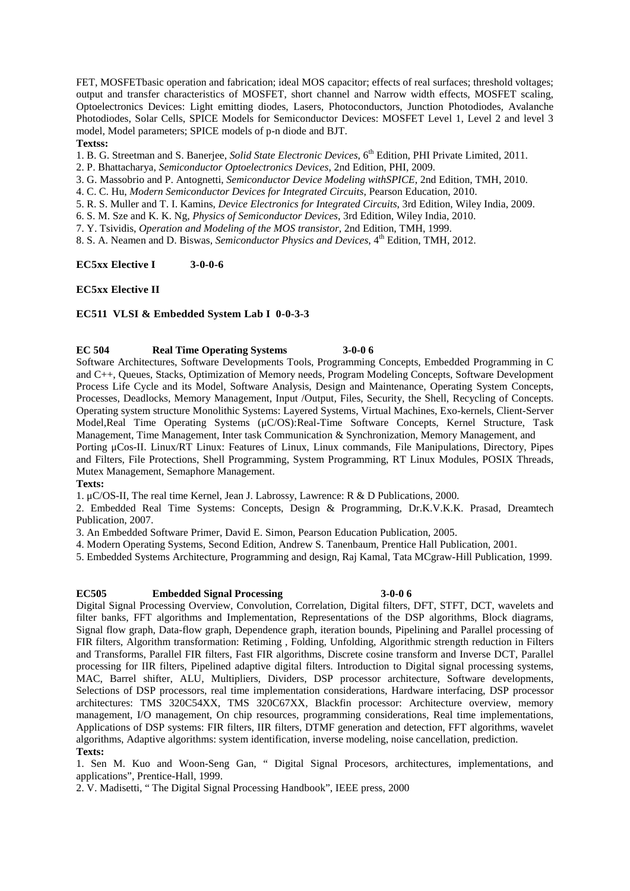FET, MOSFETbasic operation and fabrication; ideal MOS capacitor; effects of real surfaces; threshold voltages; output and transfer characteristics of MOSFET, short channel and Narrow width effects, MOSFET scaling, Optoelectronics Devices: Light emitting diodes, Lasers, Photoconductors, Junction Photodiodes, Avalanche Photodiodes, Solar Cells, SPICE Models for Semiconductor Devices: MOSFET Level 1, Level 2 and level 3 model, Model parameters; SPICE models of p-n diode and BJT.

## **Textss:**

1. B. G. Streetman and S. Banerjee, *Solid State Electronic Devices*, 6th Edition, PHI Private Limited, 2011.

2. P. Bhattacharya, *Semiconductor Optoelectronics Devices*, 2nd Edition, PHI, 2009.

3. G. Massobrio and P. Antognetti, *Semiconductor Device Modeling withSPICE*, 2nd Edition, TMH, 2010.

4. C. C. Hu, *Modern Semiconductor Devices for Integrated Circuits*, Pearson Education, 2010.

5. R. S. Muller and T. I. Kamins, *Device Electronics for Integrated Circuits*, 3rd Edition, Wiley India, 2009.

6. S. M. Sze and K. K. Ng, *Physics of Semiconductor Devices*, 3rd Edition, Wiley India, 2010.

7. Y. Tsividis, *Operation and Modeling of the MOS transistor*, 2nd Edition, TMH, 1999.

8. S. A. Neamen and D. Biswas, *Semiconductor Physics and Devices*, 4 th Edition, TMH, 2012.

## **EC5xx Elective I 3-0-0-6**

## **EC5xx Elective II**

## **EC511 VLSI & Embedded System Lab I 0-0-3-3**

**EC 504 Real Time Operating Systems 3-0-0 6**

Software Architectures, Software Developments Tools, Programming Concepts, Embedded Programming in C and C++, Queues, Stacks, Optimization of Memory needs, Program Modeling Concepts, Software Development Process Life Cycle and its Model, Software Analysis, Design and Maintenance, Operating System Concepts, Processes, Deadlocks, Memory Management, Input /Output, Files, Security, the Shell, Recycling of Concepts. Operating system structure Monolithic Systems: Layered Systems, Virtual Machines, Exo-kernels, Client-Server Model,Real Time Operating Systems (μC/OS):Real-Time Software Concepts, Kernel Structure, Task Management, Time Management, Inter task Communication & Synchronization, Memory Management, and Porting μCos-II. Linux/RT Linux: Features of Linux, Linux commands, File Manipulations, Directory, Pipes and Filters, File Protections, Shell Programming, System Programming, RT Linux Modules, POSIX Threads, Mutex Management, Semaphore Management.

**Texts:**

1. μC/OS-II, The real time Kernel, Jean J. Labrossy, Lawrence: R & D Publications, 2000.

2. Embedded Real Time Systems: Concepts, Design & Programming, Dr.K.V.K.K. Prasad, Dreamtech Publication, 2007.

3. An Embedded Software Primer, David E. Simon, Pearson Education Publication, 2005.

4. Modern Operating Systems, Second Edition, Andrew S. Tanenbaum, Prentice Hall Publication, 2001.

5. Embedded Systems Architecture, Programming and design, Raj Kamal, Tata MCgraw-Hill Publication, 1999.

## **EC505 Embedded Signal Processing 3-0-0 6**

Digital Signal Processing Overview, Convolution, Correlation, Digital filters, DFT, STFT, DCT, wavelets and filter banks, FFT algorithms and Implementation, Representations of the DSP algorithms, Block diagrams, Signal flow graph, Data-flow graph, Dependence graph, iteration bounds, Pipelining and Parallel processing of FIR filters, Algorithm transformation: Retiming , Folding, Unfolding, Algorithmic strength reduction in Filters and Transforms, Parallel FIR filters, Fast FIR algorithms, Discrete cosine transform and Inverse DCT, Parallel processing for IIR filters, Pipelined adaptive digital filters. Introduction to Digital signal processing systems, MAC, Barrel shifter, ALU, Multipliers, Dividers, DSP processor architecture, Software developments, Selections of DSP processors, real time implementation considerations, Hardware interfacing, DSP processor architectures: TMS 320C54XX, TMS 320C67XX, Blackfin processor: Architecture overview, memory management, I/O management, On chip resources, programming considerations, Real time implementations, Applications of DSP systems: FIR filters, IIR filters, DTMF generation and detection, FFT algorithms, wavelet algorithms, Adaptive algorithms: system identification, inverse modeling, noise cancellation, prediction. **Texts:**

1. Sen M. Kuo and Woon-Seng Gan, " Digital Signal Procesors, architectures, implementations, and applications", Prentice-Hall, 1999.

2. V. Madisetti, " The Digital Signal Processing Handbook", IEEE press, 2000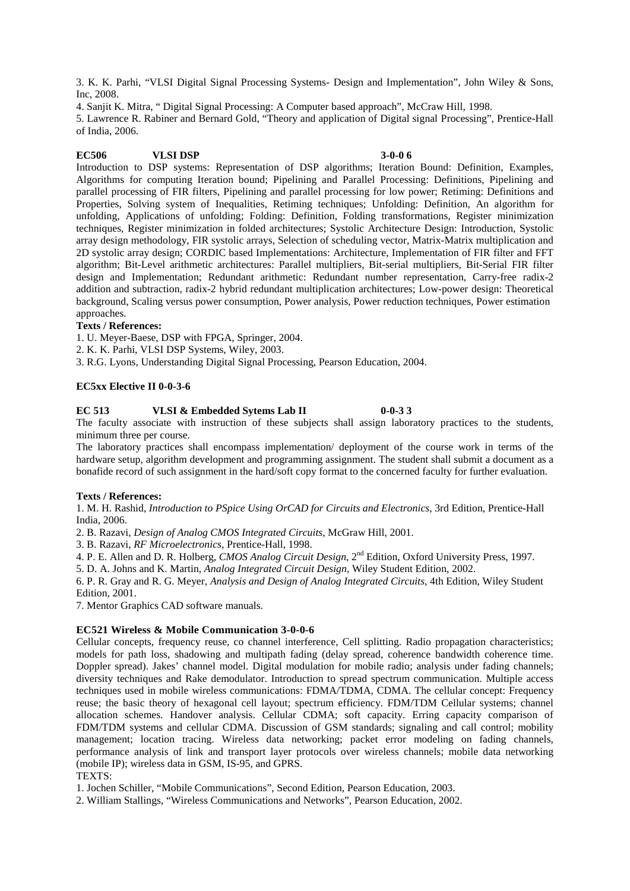3. K. K. Parhi, "VLSI Digital Signal Processing Systems- Design and Implementation", John Wiley & Sons, Inc, 2008.

4. Sanjit K. Mitra, " Digital Signal Processing: A Computer based approach", McCraw Hill, 1998.

5. Lawrence R. Rabiner and Bernard Gold, "Theory and application of Digital signal Processing", Prentice-Hall of India, 2006.

## **EC506 VLSI DSP 3-0-0 6**

Introduction to DSP systems: Representation of DSP algorithms; Iteration Bound: Definition, Examples, Algorithms for computing Iteration bound; Pipelining and Parallel Processing: Definitions, Pipelining and parallel processing of FIR filters, Pipelining and parallel processing for low power; Retiming: Definitions and Properties, Solving system of Inequalities, Retiming techniques; Unfolding: Definition, An algorithm for unfolding, Applications of unfolding; Folding: Definition, Folding transformations, Register minimization techniques, Register minimization in folded architectures; Systolic Architecture Design: Introduction, Systolic array design methodology, FIR systolic arrays, Selection of scheduling vector, Matrix-Matrix multiplication and 2D systolic array design; CORDIC based Implementations: Architecture, Implementation of FIR filter and FFT algorithm; Bit-Level arithmetic architectures: Parallel multipliers, Bit-serial multipliers, Bit-Serial FIR filter design and Implementation; Redundant arithmetic: Redundant number representation, Carry-free radix-2 addition and subtraction, radix-2 hybrid redundant multiplication architectures; Low-power design: Theoretical background, Scaling versus power consumption, Power analysis, Power reduction techniques, Power estimation approaches.

## **Texts / References:**

1. U. Meyer-Baese, DSP with FPGA, Springer, 2004.

2. K. K. Parhi, VLSI DSP Systems, Wiley, 2003.

3. R.G. Lyons, Understanding Digital Signal Processing, Pearson Education, 2004.

## **EC5xx Elective II 0-0-3-6**

## **EC 513 VLSI & Embedded Sytems Lab II 0-0-3 3**

The faculty associate with instruction of these subjects shall assign laboratory practices to the students, minimum three per course.

The laboratory practices shall encompass implementation/ deployment of the course work in terms of the hardware setup, algorithm development and programming assignment. The student shall submit a document as a bonafide record of such assignment in the hard/soft copy format to the concerned faculty for further evaluation.

## **Texts / References:**

1. M. H. Rashid, *Introduction to PSpice Using OrCAD for Circuits and Electronics*, 3rd Edition, Prentice-Hall India, 2006.

2. B. Razavi, *Design of Analog CMOS Integrated Circuits*, McGraw Hill, 2001.

3. B. Razavi, *RF Microelectronics*, Prentice-Hall, 1998.

4. P. E. Allen and D. R. Holberg, *CMOS Analog Circuit Design*, 2nd Edition, Oxford University Press, 1997.

5. D. A. Johns and K. Martin, *Analog Integrated Circuit Design*, Wiley Student Edition, 2002.

6. P. R. Gray and R. G. Meyer, *Analysis and Design of Analog Integrated Circuits*, 4th Edition, Wiley Student Edition, 2001.

7. Mentor Graphics CAD software manuals.

## **EC521 Wireless & Mobile Communication 3-0-0-6**

Cellular concepts, frequency reuse, co channel interference, Cell splitting. Radio propagation characteristics; models for path loss, shadowing and multipath fading (delay spread, coherence bandwidth coherence time. Doppler spread). Jakes' channel model. Digital modulation for mobile radio; analysis under fading channels; diversity techniques and Rake demodulator. Introduction to spread spectrum communication. Multiple access techniques used in mobile wireless communications: FDMA/TDMA, CDMA. The cellular concept: Frequency reuse; the basic theory of hexagonal cell layout; spectrum efficiency. FDM/TDM Cellular systems; channel allocation schemes. Handover analysis. Cellular CDMA; soft capacity. Erring capacity comparison of FDM/TDM systems and cellular CDMA. Discussion of GSM standards; signaling and call control; mobility management; location tracing. Wireless data networking; packet error modeling on fading channels, performance analysis of link and transport layer protocols over wireless channels; mobile data networking (mobile IP); wireless data in GSM, IS-95, and GPRS. TEXTS:

1. Jochen Schiller, "Mobile Communications", Second Edition, Pearson Education, 2003.

2. William Stallings, "Wireless Communications and Networks", Pearson Education, 2002.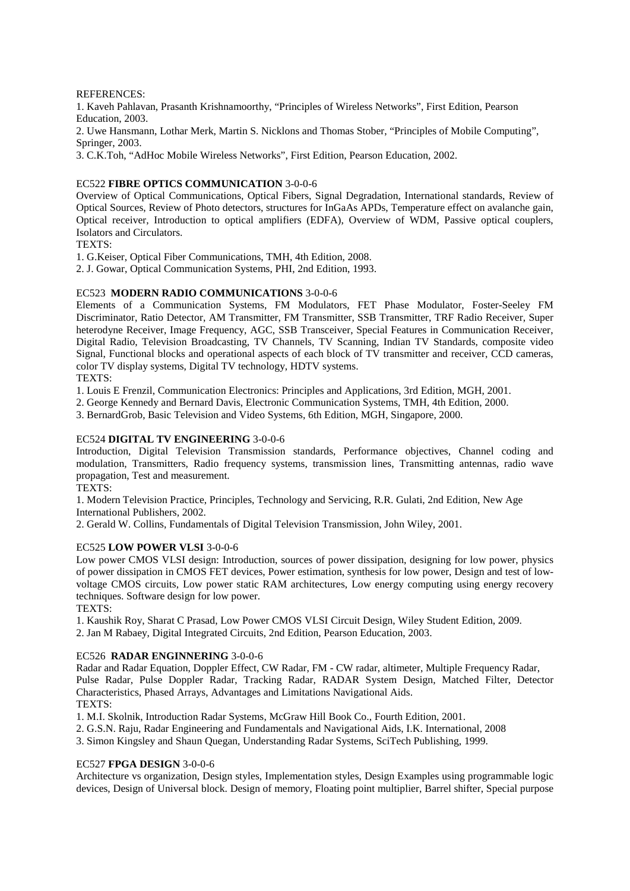REFERENCES:

1. Kaveh Pahlavan, Prasanth Krishnamoorthy, "Principles of Wireless Networks", First Edition, Pearson Education, 2003.

2. Uwe Hansmann, Lothar Merk, Martin S. Nicklons and Thomas Stober, "Principles of Mobile Computing", Springer, 2003.

3. C.K.Toh, "AdHoc Mobile Wireless Networks", First Edition, Pearson Education, 2002.

## EC522 **FIBRE OPTICS COMMUNICATION** 3-0-0-6

Overview of Optical Communications, Optical Fibers, Signal Degradation, International standards, Review of Optical Sources, Review of Photo detectors, structures for InGaAs APDs, Temperature effect on avalanche gain, Optical receiver, Introduction to optical amplifiers (EDFA), Overview of WDM, Passive optical couplers, Isolators and Circulators.

TEXTS:

1. G.Keiser, Optical Fiber Communications, TMH, 4th Edition, 2008.

2. J. Gowar, Optical Communication Systems, PHI, 2nd Edition, 1993.

## EC523 **MODERN RADIO COMMUNICATIONS** 3-0-0-6

Elements of a Communication Systems, FM Modulators, FET Phase Modulator, Foster-Seeley FM Discriminator, Ratio Detector, AM Transmitter, FM Transmitter, SSB Transmitter, TRF Radio Receiver, Super heterodyne Receiver, Image Frequency, AGC, SSB Transceiver, Special Features in Communication Receiver, Digital Radio, Television Broadcasting, TV Channels, TV Scanning, Indian TV Standards, composite video Signal, Functional blocks and operational aspects of each block of TV transmitter and receiver, CCD cameras, color TV display systems, Digital TV technology, HDTV systems. TEXTS:

1. Louis E Frenzil, Communication Electronics: Principles and Applications, 3rd Edition, MGH, 2001.

2. George Kennedy and Bernard Davis, Electronic Communication Systems, TMH, 4th Edition, 2000.

3. BernardGrob, Basic Television and Video Systems, 6th Edition, MGH, Singapore, 2000.

## EC524 **DIGITAL TV ENGINEERING** 3-0-0-6

Introduction, Digital Television Transmission standards, Performance objectives, Channel coding and modulation, Transmitters, Radio frequency systems, transmission lines, Transmitting antennas, radio wave propagation, Test and measurement.

TEXTS:

1. Modern Television Practice, Principles, Technology and Servicing, R.R. Gulati, 2nd Edition, New Age International Publishers, 2002.

2. Gerald W. Collins, Fundamentals of Digital Television Transmission, John Wiley, 2001.

## EC525 **LOW POWER VLSI** 3-0-0-6

Low power CMOS VLSI design: Introduction, sources of power dissipation, designing for low power, physics of power dissipation in CMOS FET devices, Power estimation, synthesis for low power, Design and test of low voltage CMOS circuits, Low power static RAM architectures, Low energy computing using energy recovery techniques. Software design for low power.

TEXTS:

1. Kaushik Roy, Sharat C Prasad, Low Power CMOS VLSI Circuit Design, Wiley Student Edition, 2009. 2. Jan M Rabaey, Digital Integrated Circuits, 2nd Edition, Pearson Education, 2003.

## EC526 **RADAR ENGINNERING** 3-0-0-6

Radar and Radar Equation, Doppler Effect, CW Radar, FM - CW radar, altimeter, Multiple Frequency Radar, Pulse Radar, Pulse Doppler Radar, Tracking Radar, RADAR System Design, Matched Filter, Detector Characteristics, Phased Arrays, Advantages and Limitations Navigational Aids. TEXTS:

1. M.I. Skolnik, Introduction Radar Systems, McGraw Hill Book Co., Fourth Edition, 2001.

2. G.S.N. Raju, Radar Engineering and Fundamentals and Navigational Aids, I.K. International, 2008

3. Simon Kingsley and Shaun Quegan, Understanding Radar Systems, SciTech Publishing, 1999.

## EC527 **FPGA DESIGN** 3-0-0-6

Architecture vs organization, Design styles, Implementation styles, Design Examples using programmable logic devices, Design of Universal block. Design of memory, Floating point multiplier, Barrel shifter, Special purpose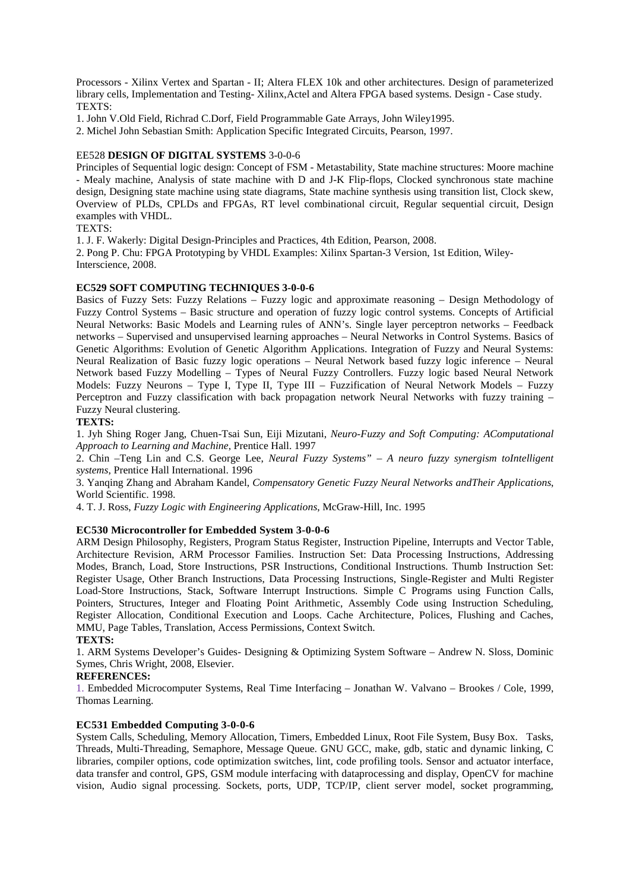Processors - Xilinx Vertex and Spartan - II; Altera FLEX 10k and other architectures. Design of parameterized library cells, Implementation and Testing- Xilinx,Actel and Altera FPGA based systems. Design - Case study. TEXTS:

1. John V.Old Field, Richrad C.Dorf, Field Programmable Gate Arrays, John Wiley1995.

2. Michel John Sebastian Smith: Application Specific Integrated Circuits, Pearson, 1997.

## EE528 **DESIGN OF DIGITAL SYSTEMS** 3-0-0-6

Principles of Sequential logic design: Concept of FSM - Metastability, State machine structures: Moore machine - Mealy machine, Analysis of state machine with D and J-K Flip-flops, Clocked synchronous state machine design, Designing state machine using state diagrams, State machine synthesis using transition list, Clock skew, Overview of PLDs, CPLDs and FPGAs, RT level combinational circuit, Regular sequential circuit, Design examples with VHDL.

TEXTS:

1. J. F. Wakerly: Digital Design-Principles and Practices, 4th Edition, Pearson, 2008.

2. Pong P. Chu: FPGA Prototyping by VHDL Examples: Xilinx Spartan-3 Version, 1st Edition, Wiley-Interscience, 2008.

## **EC529 SOFT COMPUTING TECHNIQUES 3-0-0-6**

Basics of Fuzzy Sets: Fuzzy Relations – Fuzzy logic and approximate reasoning – Design Methodology of Fuzzy Control Systems – Basic structure and operation of fuzzy logic control systems. Concepts of Artificial Neural Networks: Basic Models and Learning rules of ANN's. Single layer perceptron networks – Feedback networks – Supervised and unsupervised learning approaches – Neural Networks in Control Systems. Basics of Genetic Algorithms: Evolution of Genetic Algorithm Applications. Integration of Fuzzy and Neural Systems: Neural Realization of Basic fuzzy logic operations – Neural Network based fuzzy logic inference – Neural Network based Fuzzy Modelling – Types of Neural Fuzzy Controllers. Fuzzy logic based Neural Network Models: Fuzzy Neurons – Type I, Type II, Type III – Fuzzification of Neural Network Models – Fuzzy Perceptron and Fuzzy classification with back propagation network Neural Networks with fuzzy training – Fuzzy Neural clustering.

## **TEXTS:**

1. Jyh Shing Roger Jang, Chuen-Tsai Sun, Eiji Mizutani, *Neuro-Fuzzy and Soft Computing: AComputational Approach to Learning and Machine*, Prentice Hall. 1997

2. Chin –Teng Lin and C.S. George Lee, *Neural Fuzzy Systems" – A neuro fuzzy synergism toIntelligent systems*, Prentice Hall International. 1996

3. Yanqing Zhang and Abraham Kandel, *Compensatory Genetic Fuzzy Neural Networks andTheir Applications*, World Scientific. 1998.

4. T. J. Ross, *Fuzzy Logic with Engineering Applications*, McGraw-Hill, Inc. 1995

## **EC530 Microcontroller for Embedded System 3-0-0-6**

ARM Design Philosophy, Registers, Program Status Register, Instruction Pipeline, Interrupts and Vector Table, Architecture Revision, ARM Processor Families. Instruction Set: Data Processing Instructions, Addressing Modes, Branch, Load, Store Instructions, PSR Instructions, Conditional Instructions. Thumb Instruction Set: Register Usage, Other Branch Instructions, Data Processing Instructions, Single-Register and Multi Register Load-Store Instructions, Stack, Software Interrupt Instructions. Simple C Programs using Function Calls, Pointers, Structures, Integer and Floating Point Arithmetic, Assembly Code using Instruction Scheduling, Register Allocation, Conditional Execution and Loops. Cache Architecture, Polices, Flushing and Caches, MMU, Page Tables, Translation, Access Permissions, Context Switch.

## **TEXTS:**

1. ARM Systems Developer's Guides- Designing & Optimizing System Software – Andrew N. Sloss, Dominic Symes, Chris Wright, 2008, Elsevier.

## **REFERENCES:**

1. Embedded Microcomputer Systems, Real Time Interfacing – Jonathan W. Valvano – Brookes / Cole, 1999, Thomas Learning.

## **EC531 Embedded Computing 3-0-0-6**

System Calls, Scheduling, Memory Allocation, Timers, Embedded Linux, Root File System, Busy Box. Tasks, Threads, Multi-Threading, Semaphore, Message Queue. GNU GCC, make, gdb, static and dynamic linking, C libraries, compiler options, code optimization switches, lint, code profiling tools. Sensor and actuator interface, data transfer and control, GPS, GSM module interfacing with dataprocessing and display, OpenCV for machine vision, Audio signal processing. Sockets, ports, UDP, TCP/IP, client server model, socket programming,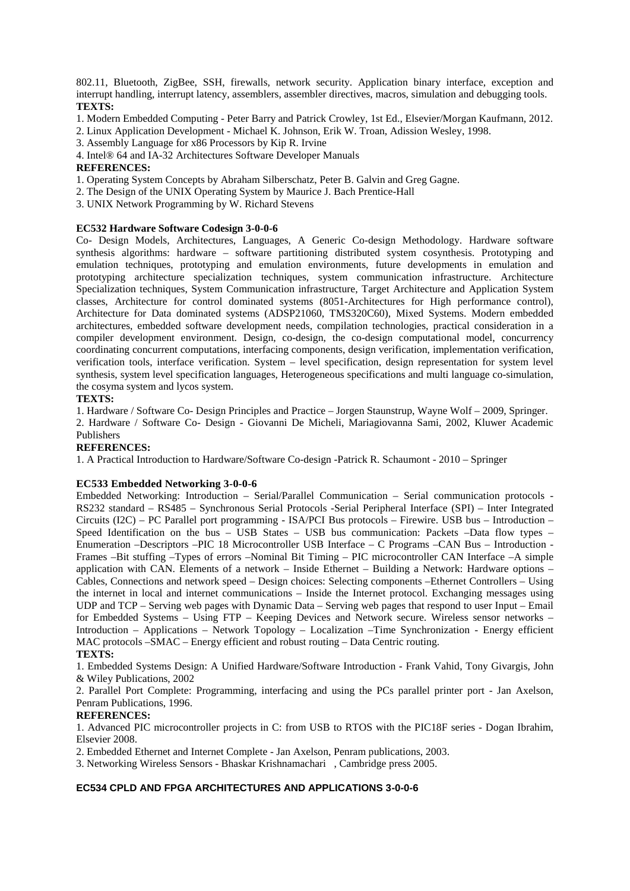802.11, Bluetooth, ZigBee, SSH, firewalls, network security. Application binary interface, exception and interrupt handling, interrupt latency, assemblers, assembler directives, macros, simulation and debugging tools. **TEXTS:**

- 1. Modern Embedded Computing Peter Barry and Patrick Crowley, 1st Ed., Elsevier/Morgan Kaufmann, 2012.
- 2. Linux Application Development Michael K. Johnson, Erik W. Troan, Adission Wesley, 1998.
- 3. Assembly Language for x86 Processors by Kip R. Irvine
- 4. Intel® 64 and IA-32 Architectures Software Developer Manuals

## **REFERENCES:**

- 1. Operating System Concepts by Abraham Silberschatz, Peter B. Galvin and Greg Gagne.
- 2. The Design of the UNIX Operating System by Maurice J. Bach Prentice-Hall
- 3. UNIX Network Programming by W. Richard Stevens

## **EC532 Hardware Software Codesign 3-0-0-6**

Co- Design Models, Architectures, Languages, A Generic Co-design Methodology. Hardware software synthesis algorithms: hardware – software partitioning distributed system cosynthesis. Prototyping and emulation techniques, prototyping and emulation environments, future developments in emulation and prototyping architecture specialization techniques, system communication infrastructure. Architecture Specialization techniques, System Communication infrastructure, Target Architecture and Application System classes, Architecture for control dominated systems (8051-Architectures for High performance control), Architecture for Data dominated systems (ADSP21060, TMS320C60), Mixed Systems. Modern embedded architectures, embedded software development needs, compilation technologies, practical consideration in a compiler development environment. Design, co-design, the co-design computational model, concurrency coordinating concurrent computations, interfacing components, design verification, implementation verification, verification tools, interface verification. System – level specification, design representation for system level synthesis, system level specification languages, Heterogeneous specifications and multi language co-simulation, the cosyma system and lycos system.

## **TEXTS:**

1. Hardware / Software Co- Design Principles and Practice – Jorgen Staunstrup, Wayne Wolf – 2009, Springer.

2. Hardware / Software Co- Design - Giovanni De Micheli, Mariagiovanna Sami, 2002, Kluwer Academic Publishers

## **REFERENCES:**

1. A Practical Introduction to Hardware/Software Co-design -Patrick R. Schaumont - 2010 – Springer

## **EC533 Embedded Networking 3-0-0-6**

Embedded Networking: Introduction – Serial/Parallel Communication – Serial communication protocols - RS232 standard – RS485 – Synchronous Serial Protocols -Serial Peripheral Interface (SPI) – Inter Integrated Circuits (I2C) – PC Parallel port programming - ISA/PCI Bus protocols – Firewire. USB bus – Introduction – Speed Identification on the bus – USB States – USB bus communication: Packets –Data flow types – Enumeration –Descriptors –PIC 18 Microcontroller USB Interface – C Programs –CAN Bus – Introduction - Frames –Bit stuffing –Types of errors –Nominal Bit Timing – PIC microcontroller CAN Interface –A simple application with CAN. Elements of a network – Inside Ethernet – Building a Network: Hardware options – Cables, Connections and network speed – Design choices: Selecting components –Ethernet Controllers – Using the internet in local and internet communications – Inside the Internet protocol. Exchanging messages using UDP and TCP – Serving web pages with Dynamic Data – Serving web pages that respond to user Input – Email for Embedded Systems – Using FTP – Keeping Devices and Network secure. Wireless sensor networks – Introduction – Applications – Network Topology – Localization –Time Synchronization - Energy efficient MAC protocols –SMAC – Energy efficient and robust routing – Data Centric routing. **TEXTS:**

1. Embedded Systems Design: A Unified Hardware/Software Introduction - Frank Vahid, Tony Givargis, John & Wiley Publications, 2002

2. Parallel Port Complete: Programming, interfacing and using the PCs parallel printer port - Jan Axelson, Penram Publications, 1996.

## **REFERENCES:**

1. Advanced PIC microcontroller projects in C: from USB to RTOS with the PIC18F series - Dogan Ibrahim, Elsevier 2008.

2. Embedded Ethernet and Internet Complete - Jan Axelson, Penram publications, 2003.

3. Networking Wireless Sensors - Bhaskar Krishnamachari , Cambridge press 2005.

## **EC534 CPLD AND FPGA ARCHITECTURES AND APPLICATIONS 3-0-0-6**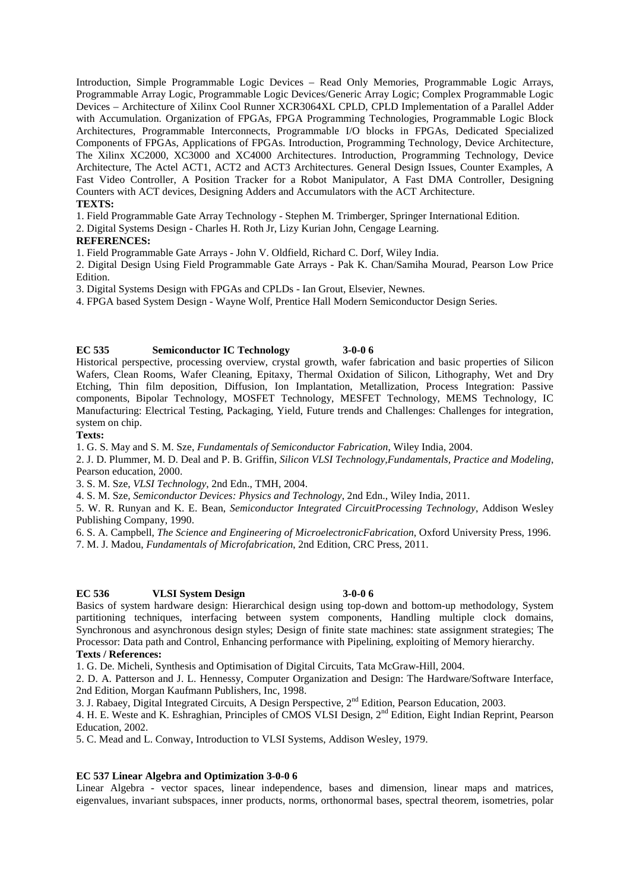Introduction, Simple Programmable Logic Devices – Read Only Memories, Programmable Logic Arrays, Programmable Array Logic, Programmable Logic Devices/Generic Array Logic; Complex Programmable Logic Devices – Architecture of Xilinx Cool Runner XCR3064XL CPLD, CPLD Implementation of a Parallel Adder with Accumulation. Organization of FPGAs, FPGA Programming Technologies, Programmable Logic Block Architectures, Programmable Interconnects, Programmable I/O blocks in FPGAs, Dedicated Specialized Components of FPGAs, Applications of FPGAs. Introduction, Programming Technology, Device Architecture, The Xilinx XC2000, XC3000 and XC4000 Architectures. Introduction, Programming Technology, Device Architecture, The Actel ACT1, ACT2 and ACT3 Architectures. General Design Issues, Counter Examples, A Fast Video Controller, A Position Tracker for a Robot Manipulator, A Fast DMA Controller, Designing Counters with ACT devices, Designing Adders and Accumulators with the ACT Architecture. **TEXTS:**

1. Field Programmable Gate Array Technology - Stephen M. Trimberger, Springer International Edition.

2. Digital Systems Design - Charles H. Roth Jr, Lizy Kurian John, Cengage Learning.

## **REFERENCES:**

1. Field Programmable Gate Arrays - John V. Oldfield, Richard C. Dorf, Wiley India.

2. Digital Design Using Field Programmable Gate Arrays - Pak K. Chan/Samiha Mourad, Pearson Low Price Edition.

3. Digital Systems Design with FPGAs and CPLDs - Ian Grout, Elsevier, Newnes.

4. FPGA based System Design - Wayne Wolf, Prentice Hall Modern Semiconductor Design Series.

## **EC 535 Semiconductor IC Technology 3-0-0 6**

Historical perspective, processing overview, crystal growth, wafer fabrication and basic properties of Silicon Wafers, Clean Rooms, Wafer Cleaning, Epitaxy, Thermal Oxidation of Silicon, Lithography, Wet and Dry Etching, Thin film deposition, Diffusion, Ion Implantation, Metallization, Process Integration: Passive components, Bipolar Technology, MOSFET Technology, MESFET Technology, MEMS Technology, IC Manufacturing: Electrical Testing, Packaging, Yield, Future trends and Challenges: Challenges for integration, system on chip.

## **Texts:**

1. G. S. May and S. M. Sze, *Fundamentals of Semiconductor Fabrication*, Wiley India, 2004.

2. J. D. Plummer, M. D. Deal and P. B. Griffin, *Silicon VLSI Technology,Fundamentals, Practice and Modeling*, Pearson education, 2000.

3. S. M. Sze, *VLSI Technology*, 2nd Edn., TMH, 2004.

4. S. M. Sze, *Semiconductor Devices: Physics and Technology*, 2nd Edn., Wiley India, 2011.

5. W. R. Runyan and K. E. Bean, *Semiconductor Integrated CircuitProcessing Technology*, Addison Wesley Publishing Company, 1990.

6. S. A. Campbell, *The Science and Engineering of MicroelectronicFabrication*, Oxford University Press, 1996. 7. M. J. Madou, *Fundamentals of Microfabrication*, 2nd Edition, CRC Press, 2011.

### **EC 536 VLSI System Design 3-0-0 6**

Basics of system hardware design: Hierarchical design using top-down and bottom-up methodology, System partitioning techniques, interfacing between system components, Handling multiple clock domains, Synchronous and asynchronous design styles; Design of finite state machines: state assignment strategies; The Processor: Data path and Control, Enhancing performance with Pipelining, exploiting of Memory hierarchy.

## **Texts / References:**

1. G. De. Micheli, Synthesis and Optimisation of Digital Circuits, Tata McGraw-Hill, 2004.

2. D. A. Patterson and J. L. Hennessy, Computer Organization and Design: The Hardware/Software Interface, 2nd Edition, Morgan Kaufmann Publishers, Inc, 1998.

3. J. Rabaey, Digital Integrated Circuits, A Design Perspective, 2nd Edition, Pearson Education, 2003.

4. H. E. Weste and K. Eshraghian, Principles of CMOS VLSI Design, 2<sup>nd</sup> Edition, Eight Indian Reprint, Pearson Education, 2002.

5. C. Mead and L. Conway, Introduction to VLSI Systems, Addison Wesley, 1979.

## **EC 537 Linear Algebra and Optimization 3-0-0 6**

Linear Algebra - vector spaces, linear independence, bases and dimension, linear maps and matrices, eigenvalues, invariant subspaces, inner products, norms, orthonormal bases, spectral theorem, isometries, polar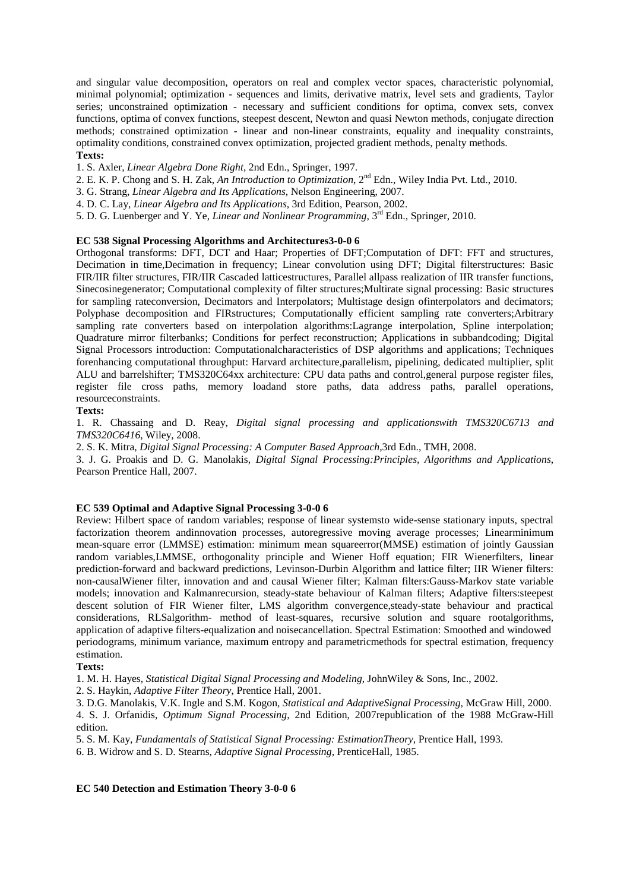and singular value decomposition, operators on real and complex vector spaces, characteristic polynomial, minimal polynomial; optimization - sequences and limits, derivative matrix, level sets and gradients, Taylor series; unconstrained optimization - necessary and sufficient conditions for optima, convex sets, convex functions, optima of convex functions, steepest descent, Newton and quasi Newton methods, conjugate direction methods; constrained optimization - linear and non-linear constraints, equality and inequality constraints, optimality conditions, constrained convex optimization, projected gradient methods, penalty methods. **Texts:**

- 1. S. Axler, *Linear Algebra Done Right*, 2nd Edn., Springer, 1997.
- 2. E. K. P. Chong and S. H. Zak, *An Introduction to Optimization*, 2nd Edn., Wiley India Pvt. Ltd., 2010.
- 3. G. Strang, *Linear Algebra and Its Applications*, Nelson Engineering, 2007.
- 4. D. C. Lay, *Linear Algebra and Its Applications*, 3rd Edition, Pearson, 2002.
- 5. D. G. Luenberger and Y. Ye, *Linear and Nonlinear Programming*, 3rd Edn., Springer, 2010.

## **EC 538 Signal Processing Algorithms and Architectures3-0-0 6**

Orthogonal transforms: DFT, DCT and Haar; Properties of DFT;Computation of DFT: FFT and structures, Decimation in time,Decimation in frequency; Linear convolution using DFT; Digital filterstructures: Basic FIR/IIR filter structures, FIR/IIR Cascaded latticestructures, Parallel allpass realization of IIR transfer functions, Sinecosinegenerator; Computational complexity of filter structures;Multirate signal processing: Basic structures for sampling rateconversion, Decimators and Interpolators; Multistage design ofinterpolators and decimators; Polyphase decomposition and FIRstructures; Computationally efficient sampling rate converters;Arbitrary sampling rate converters based on interpolation algorithms:Lagrange interpolation, Spline interpolation; Quadrature mirror filterbanks; Conditions for perfect reconstruction; Applications in subbandcoding; Digital Signal Processors introduction: Computationalcharacteristics of DSP algorithms and applications; Techniques forenhancing computational throughput: Harvard architecture,parallelism, pipelining, dedicated multiplier, split ALU and barrelshifter; TMS320C64xx architecture: CPU data paths and control,general purpose register files, register file cross paths, memory loadand store paths, data address paths, parallel operations, resourceconstraints.

## **Texts:**

1. R. Chassaing and D. Reay, *Digital signal processing and applicationswith TMS320C6713 and TMS320C6416*, Wiley, 2008.

2. S. K. Mitra, *Digital Signal Processing: A Computer Based Approach*,3rd Edn., TMH, 2008.

3. J. G. Proakis and D. G. Manolakis, *Digital Signal Processing:Principles, Algorithms and Applications*, Pearson Prentice Hall, 2007.

## **EC 539 Optimal and Adaptive Signal Processing 3-0-0 6**

Review: Hilbert space of random variables; response of linear systemsto wide-sense stationary inputs, spectral factorization theorem andinnovation processes, autoregressive moving average processes; Linearminimum mean-square error (LMMSE) estimation: minimum mean squareerror(MMSE) estimation of jointly Gaussian random variables,LMMSE, orthogonality principle and Wiener Hoff equation; FIR Wienerfilters, linear prediction-forward and backward predictions, Levinson-Durbin Algorithm and lattice filter; IIR Wiener filters: non-causalWiener filter, innovation and and causal Wiener filter; Kalman filters:Gauss-Markov state variable models; innovation and Kalmanrecursion, steady-state behaviour of Kalman filters; Adaptive filters:steepest descent solution of FIR Wiener filter, LMS algorithm convergence,steady-state behaviour and practical considerations, RLSalgorithm- method of least-squares, recursive solution and square rootalgorithms, application of adaptive filters-equalization and noisecancellation. Spectral Estimation: Smoothed and windowed periodograms, minimum variance, maximum entropy and parametricmethods for spectral estimation, frequency estimation.

## **Texts:**

1. M. H. Hayes, *Statistical Digital Signal Processing and Modeling*, JohnWiley & Sons, Inc., 2002.

2. S. Haykin, *Adaptive Filter Theory*, Prentice Hall, 2001.

3. D.G. Manolakis, V.K. Ingle and S.M. Kogon, *Statistical and AdaptiveSignal Processing*, McGraw Hill, 2000. 4. S. J. Orfanidis, *Optimum Signal Processing*, 2nd Edition, 2007republication of the 1988 McGraw-Hill edition.

5. S. M. Kay, *Fundamentals of Statistical Signal Processing: EstimationTheory*, Prentice Hall, 1993.

6. B. Widrow and S. D. Stearns, *Adaptive Signal Processing*, PrenticeHall, 1985.

**EC 540 Detection and Estimation Theory 3-0-0 6**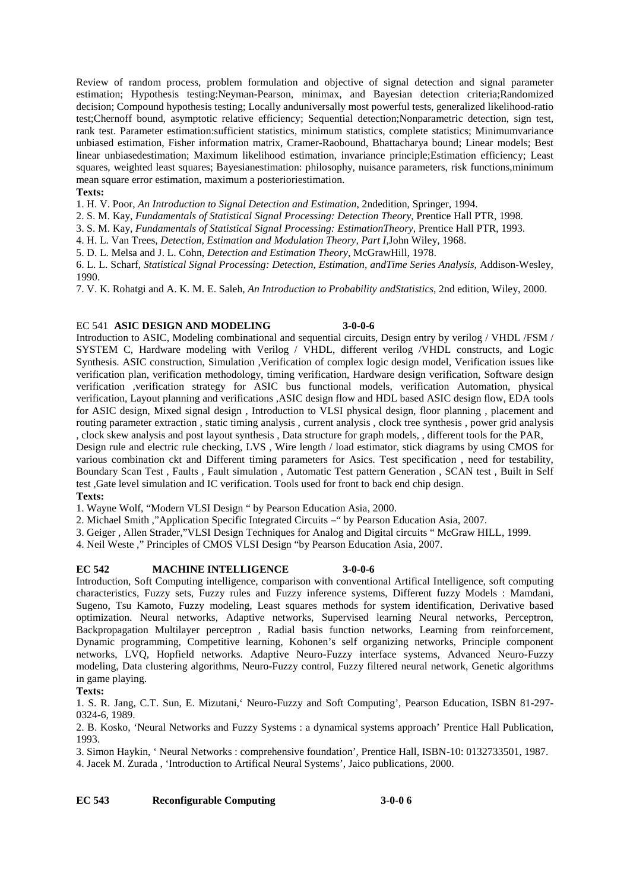Review of random process, problem formulation and objective of signal detection and signal parameter estimation; Hypothesis testing:Neyman-Pearson, minimax, and Bayesian detection criteria;Randomized decision; Compound hypothesis testing; Locally anduniversally most powerful tests, generalized likelihood-ratio test;Chernoff bound, asymptotic relative efficiency; Sequential detection;Nonparametric detection, sign test, rank test. Parameter estimation:sufficient statistics, minimum statistics, complete statistics; Minimumvariance unbiased estimation, Fisher information matrix, Cramer-Raobound, Bhattacharya bound; Linear models; Best linear unbiasedestimation; Maximum likelihood estimation, invariance principle;Estimation efficiency; Least squares, weighted least squares; Bayesianestimation: philosophy, nuisance parameters, risk functions,minimum mean square error estimation, maximum a posterioriestimation.

## **Texts:**

1. H. V. Poor, *An Introduction to Signal Detection and Estimation*, 2ndedition, Springer, 1994.

2. S. M. Kay, *Fundamentals of Statistical Signal Processing: Detection Theory*, Prentice Hall PTR, 1998.

3. S. M. Kay, *Fundamentals of Statistical Signal Processing: EstimationTheory*, Prentice Hall PTR, 1993.

4. H. L. Van Trees, *Detection, Estimation and Modulation Theory, Part I*,John Wiley, 1968.

5. D. L. Melsa and J. L. Cohn, *Detection and Estimation Theory*, McGrawHill, 1978.

6. L. L. Scharf, *Statistical Signal Processing: Detection, Estimation, andTime Series Analysis*, Addison-Wesley, 1990.

7. V. K. Rohatgi and A. K. M. E. Saleh, *An Introduction to Probability andStatistics*, 2nd edition, Wiley, 2000.

## EC 541 **ASIC DESIGN AND MODELING 3-0-0-6**

Introduction to ASIC, Modeling combinational and sequential circuits, Design entry by verilog / VHDL /FSM / SYSTEM C, Hardware modeling with Verilog / VHDL, different verilog /VHDL constructs, and Logic Synthesis. ASIC construction, Simulation ,Verification of complex logic design model, Verification issues like verification plan, verification methodology, timing verification, Hardware design verification, Software design verification ,verification strategy for ASIC bus functional models, verification Automation, physical verification, Layout planning and verifications ,ASIC design flow and HDL based ASIC design flow, EDA tools for ASIC design, Mixed signal design , Introduction to VLSI physical design, floor planning , placement and routing parameter extraction , static timing analysis , current analysis , clock tree synthesis , power grid analysis , clock skew analysis and post layout synthesis , Data structure for graph models, , different tools for the PAR,

Design rule and electric rule checking, LVS , Wire length / load estimator, stick diagrams by using CMOS for various combination ckt and Different timing parameters for Asics. Test specification , need for testability, Boundary Scan Test, Faults, Fault simulation, Automatic Test pattern Generation, SCAN test, Built in Self test ,Gate level simulation and IC verification. Tools used for front to back end chip design.

## **Texts:**

1. Wayne Wolf, "Modern VLSI Design " by Pearson Education Asia, 2000.

2. Michael Smith ,"Application Specific Integrated Circuits –" by Pearson Education Asia, 2007.

3. Geiger , Allen Strader,"VLSI Design Techniques for Analog and Digital circuits " McGraw HILL, 1999.

4. Neil Weste ," Principles of CMOS VLSI Design "by Pearson Education Asia, 2007.

## **EC 542 MACHINE INTELLIGENCE 3-0-0-6**

Introduction, Soft Computing intelligence, comparison with conventional Artifical Intelligence, soft computing characteristics, Fuzzy sets, Fuzzy rules and Fuzzy inference systems, Different fuzzy Models : Mamdani, Sugeno, Tsu Kamoto, Fuzzy modeling, Least squares methods for system identification, Derivative based optimization. Neural networks, Adaptive networks, Supervised learning Neural networks, Perceptron, Backpropagation Multilayer perceptron , Radial basis function networks, Learning from reinforcement, Dynamic programming, Competitive learning, Kohonen's self organizing networks, Principle component networks, LVQ, Hopfield networks. Adaptive Neuro-Fuzzy interface systems, Advanced Neuro-Fuzzy modeling, Data clustering algorithms, Neuro-Fuzzy control, Fuzzy filtered neural network, Genetic algorithms in game playing.

## **Texts:**

1. S. R. Jang, C.T. Sun, E. Mizutani,' Neuro-Fuzzy and Soft Computing', Pearson Education, ISBN 81-297- 0324-6, 1989.

2. B. Kosko, 'Neural Networks and Fuzzy Systems : a dynamical systems approach' Prentice Hall Publication, 1993.

3. Simon Haykin, ' Neural Networks : comprehensive foundation', Prentice Hall, ISBN-10: 0132733501, 1987.

4. Jacek M. Zurada , 'Introduction to Artifical Neural Systems', Jaico publications, 2000.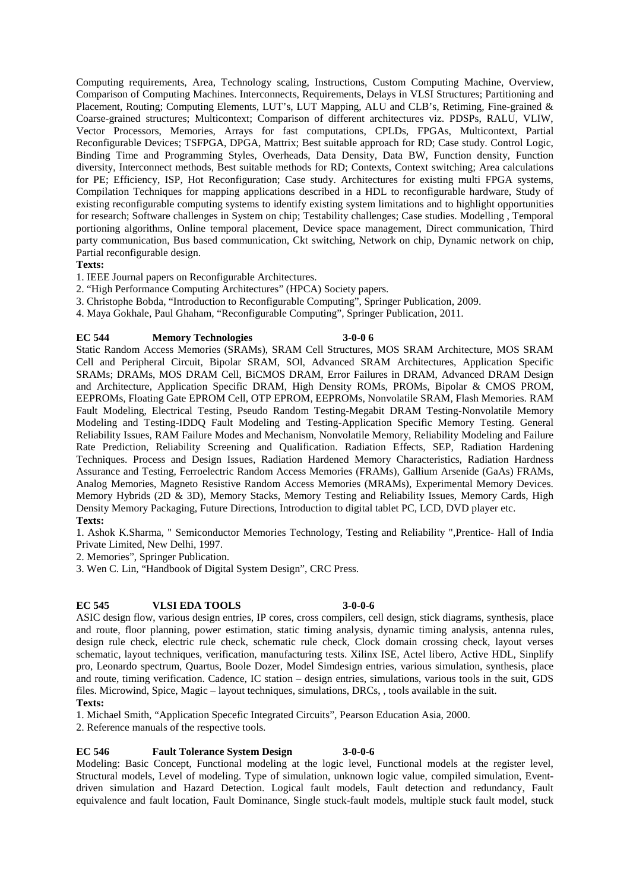Computing requirements, Area, Technology scaling, Instructions, Custom Computing Machine, Overview, Comparison of Computing Machines. Interconnects, Requirements, Delays in VLSI Structures; Partitioning and Placement, Routing; Computing Elements, LUT's, LUT Mapping, ALU and CLB's, Retiming, Fine-grained & Coarse-grained structures; Multicontext; Comparison of different architectures viz. PDSPs, RALU, VLIW, Vector Processors, Memories, Arrays for fast computations, CPLDs, FPGAs, Multicontext, Partial Reconfigurable Devices; TSFPGA, DPGA, Mattrix; Best suitable approach for RD; Case study. Control Logic, Binding Time and Programming Styles, Overheads, Data Density, Data BW, Function density, Function diversity, Interconnect methods, Best suitable methods for RD; Contexts, Context switching; Area calculations for PE; Efficiency, ISP, Hot Reconfiguration; Case study. Architectures for existing multi FPGA systems, Compilation Techniques for mapping applications described in a HDL to reconfigurable hardware, Study of existing reconfigurable computing systems to identify existing system limitations and to highlight opportunities for research; Software challenges in System on chip; Testability challenges; Case studies. Modelling , Temporal portioning algorithms, Online temporal placement, Device space management, Direct communication, Third party communication, Bus based communication, Ckt switching, Network on chip, Dynamic network on chip, Partial reconfigurable design.

## **Texts:**

1. IEEE Journal papers on Reconfigurable Architectures.

- 2. "High Performance Computing Architectures" (HPCA) Society papers.
- 3. Christophe Bobda, "Introduction to Reconfigurable Computing", Springer Publication, 2009.
- 4. Maya Gokhale, Paul Ghaham, "Reconfigurable Computing", Springer Publication, 2011.

## **EC 544 Memory Technologies 3-0-0 6**

Static Random Access Memories (SRAMs), SRAM Cell Structures, MOS SRAM Architecture, MOS SRAM Cell and Peripheral Circuit, Bipolar SRAM, SOl, Advanced SRAM Architectures, Application Specific SRAMs; DRAMs, MOS DRAM Cell, BiCMOS DRAM, Error Failures in DRAM, Advanced DRAM Design and Architecture, Application Specific DRAM, High Density ROMs, PROMs, Bipolar & CMOS PROM, EEPROMs, Floating Gate EPROM Cell, OTP EPROM, EEPROMs, Nonvolatile SRAM, Flash Memories. RAM Fault Modeling, Electrical Testing, Pseudo Random Testing-Megabit DRAM Testing-Nonvolatile Memory Modeling and Testing-IDDQ Fault Modeling and Testing-Application Specific Memory Testing. General Reliability Issues, RAM Failure Modes and Mechanism, Nonvolatile Memory, Reliability Modeling and Failure Rate Prediction, Reliability Screening and Qualification. Radiation Effects, SEP, Radiation Hardening Techniques. Process and Design Issues, Radiation Hardened Memory Characteristics, Radiation Hardness Assurance and Testing, Ferroelectric Random Access Memories (FRAMs), Gallium Arsenide (GaAs) FRAMs, Analog Memories, Magneto Resistive Random Access Memories (MRAMs), Experimental Memory Devices. Memory Hybrids (2D & 3D), Memory Stacks, Memory Testing and Reliability Issues, Memory Cards, High Density Memory Packaging, Future Directions, Introduction to digital tablet PC, LCD, DVD player etc.

## **Texts:**

1. Ashok K.Sharma, " Semiconductor Memories Technology, Testing and Reliability ",Prentice- Hall of India Private Limited, New Delhi, 1997.

2. Memories", Springer Publication.

3. Wen C. Lin, "Handbook of Digital System Design", CRC Press.

## **EC 545 VLSI EDA TOOLS 3-0-0-6**

ASIC design flow, various design entries, IP cores, cross compilers, cell design, stick diagrams, synthesis, place and route, floor planning, power estimation, static timing analysis, dynamic timing analysis, antenna rules, design rule check, electric rule check, schematic rule check, Clock domain crossing check, layout verses schematic, layout techniques, verification, manufacturing tests. Xilinx ISE, Actel libero, Active HDL, Sinplify pro, Leonardo spectrum, Quartus, Boole Dozer, Model Simdesign entries, various simulation, synthesis, place and route, timing verification. Cadence, IC station – design entries, simulations, various tools in the suit, GDS files. Microwind, Spice, Magic – layout techniques, simulations, DRCs, , tools available in the suit.

## **Texts:**

1. Michael Smith, "Application Specefic Integrated Circuits", Pearson Education Asia, 2000.

2. Reference manuals of the respective tools.

## **EC 546 Fault Tolerance System Design 3-0-0-6**

Modeling: Basic Concept, Functional modeling at the logic level, Functional models at the register level, Structural models, Level of modeling. Type of simulation, unknown logic value, compiled simulation, Event driven simulation and Hazard Detection. Logical fault models, Fault detection and redundancy, Fault equivalence and fault location, Fault Dominance, Single stuck-fault models, multiple stuck fault model, stuck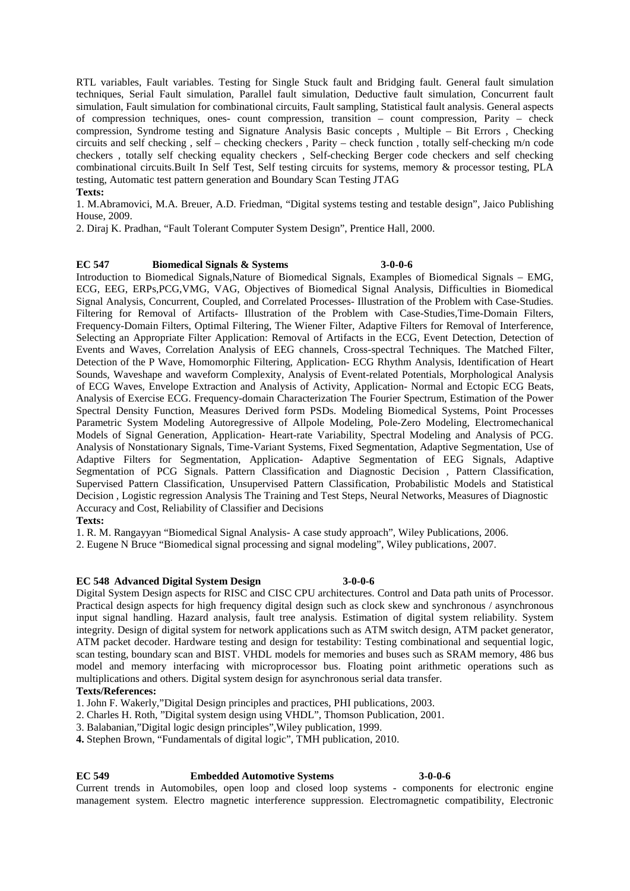RTL variables, Fault variables. Testing for Single Stuck fault and Bridging fault. General fault simulation techniques, Serial Fault simulation, Parallel fault simulation, Deductive fault simulation, Concurrent fault simulation, Fault simulation for combinational circuits, Fault sampling, Statistical fault analysis. General aspects of compression techniques, ones- count compression, transition – count compression, Parity – check compression, Syndrome testing and Signature Analysis Basic concepts , Multiple – Bit Errors , Checking circuits and self checking , self – checking checkers , Parity – check function , totally self-checking m/n code checkers , totally self checking equality checkers , Self-checking Berger code checkers and self checking combinational circuits.Built In Self Test, Self testing circuits for systems, memory & processor testing, PLA testing, Automatic test pattern generation and Boundary Scan Testing JTAG

## **Texts:**

1. M.Abramovici, M.A. Breuer, A.D. Friedman, "Digital systems testing and testable design", Jaico Publishing House, 2009.

2. Diraj K. Pradhan, "Fault Tolerant Computer System Design", Prentice Hall, 2000.

## **EC 547 Biomedical Signals & Systems 3-0-0-6**

Introduction to Biomedical Signals,Nature of Biomedical Signals, Examples of Biomedical Signals – EMG, ECG, EEG, ERPs,PCG,VMG, VAG, Objectives of Biomedical Signal Analysis, Difficulties in Biomedical Signal Analysis, Concurrent, Coupled, and Correlated Processes- Illustration of the Problem with Case-Studies. Filtering for Removal of Artifacts- Illustration of the Problem with Case-Studies,Time-Domain Filters, Frequency-Domain Filters, Optimal Filtering, The Wiener Filter, Adaptive Filters for Removal of Interference, Selecting an Appropriate Filter Application: Removal of Artifacts in the ECG, Event Detection, Detection of Events and Waves, Correlation Analysis of EEG channels, Cross-spectral Techniques. The Matched Filter, Detection of the P Wave, Homomorphic Filtering, Application- ECG Rhythm Analysis, Identification of Heart Sounds, Waveshape and waveform Complexity, Analysis of Event-related Potentials, Morphological Analysis of ECG Waves, Envelope Extraction and Analysis of Activity, Application- Normal and Ectopic ECG Beats, Analysis of Exercise ECG. Frequency-domain Characterization The Fourier Spectrum, Estimation of the Power Spectral Density Function, Measures Derived form PSDs. Modeling Biomedical Systems, Point Processes Parametric System Modeling Autoregressive of Allpole Modeling, Pole-Zero Modeling, Electromechanical Models of Signal Generation, Application- Heart-rate Variability, Spectral Modeling and Analysis of PCG. Analysis of Nonstationary Signals, Time-Variant Systems, Fixed Segmentation, Adaptive Segmentation, Use of Adaptive Filters for Segmentation, Application- Adaptive Segmentation of EEG Signals, Adaptive Segmentation of PCG Signals. Pattern Classification and Diagnostic Decision , Pattern Classification, Supervised Pattern Classification, Unsupervised Pattern Classification, Probabilistic Models and Statistical Decision , Logistic regression Analysis The Training and Test Steps, Neural Networks, Measures of Diagnostic Accuracy and Cost, Reliability of Classifier and Decisions

### **Texts:**

1. R. M. Rangayyan "Biomedical Signal Analysis- A case study approach", Wiley Publications, 2006.

2. Eugene N Bruce "Biomedical signal processing and signal modeling", Wiley publications, 2007.

### **EC 548 Advanced Digital System Design 3-0-0-6**

Digital System Design aspects for RISC and CISC CPU architectures. Control and Data path units of Processor. Practical design aspects for high frequency digital design such as clock skew and synchronous / asynchronous input signal handling. Hazard analysis, fault tree analysis. Estimation of digital system reliability. System integrity. Design of digital system for network applications such as ATM switch design, ATM packet generator, ATM packet decoder. Hardware testing and design for testability: Testing combinational and sequential logic, scan testing, boundary scan and BIST. VHDL models for memories and buses such as SRAM memory, 486 bus model and memory interfacing with microprocessor bus. Floating point arithmetic operations such as multiplications and others. Digital system design for asynchronous serial data transfer.

## **Texts/References:**

1. John F. Wakerly,"Digital Design principles and practices, PHI publications, 2003.

2. Charles H. Roth, "Digital system design using VHDL", Thomson Publication, 2001.

3. Balabanian,"Digital logic design principles",Wiley publication, 1999.

**4.** Stephen Brown, "Fundamentals of digital logic", TMH publication, 2010.

## **EC 549 Embedded Automotive Systems 3-0-0-6** Current trends in Automobiles, open loop and closed loop systems - components for electronic engine management system. Electro magnetic interference suppression. Electromagnetic compatibility, Electronic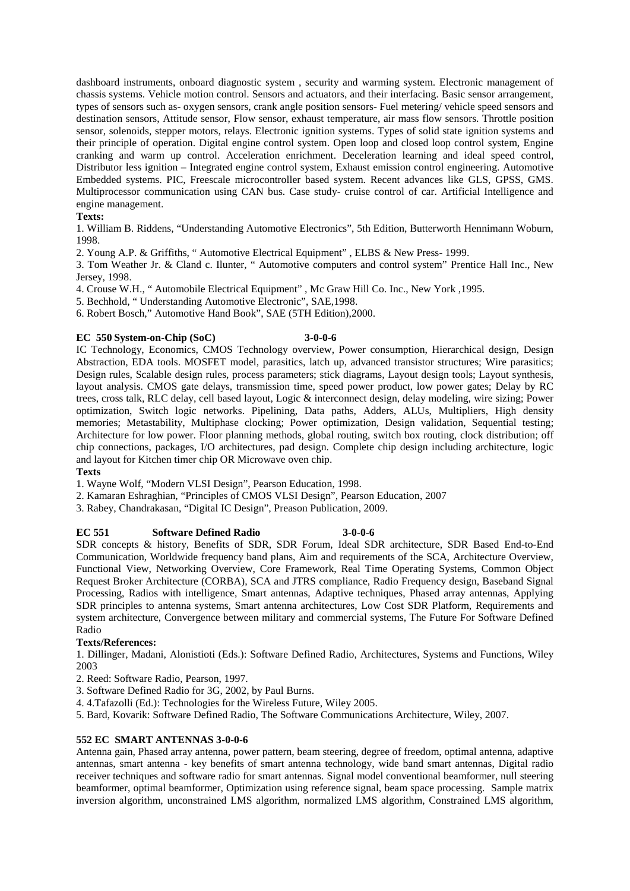dashboard instruments, onboard diagnostic system , security and warming system. Electronic management of chassis systems. Vehicle motion control. Sensors and actuators, and their interfacing. Basic sensor arrangement, types of sensors such as- oxygen sensors, crank angle position sensors- Fuel metering/ vehicle speed sensors and destination sensors, Attitude sensor, Flow sensor, exhaust temperature, air mass flow sensors. Throttle position sensor, solenoids, stepper motors, relays. Electronic ignition systems. Types of solid state ignition systems and their principle of operation. Digital engine control system. Open loop and closed loop control system, Engine cranking and warm up control. Acceleration enrichment. Deceleration learning and ideal speed control, Distributor less ignition – Integrated engine control system, Exhaust emission control engineering. Automotive Embedded systems. PIC, Freescale microcontroller based system. Recent advances like GLS, GPSS, GMS. Multiprocessor communication using CAN bus. Case study- cruise control of car. Artificial Intelligence and engine management.

## **Texts:**

1. William B. Riddens, "Understanding Automotive Electronics", 5th Edition, Butterworth Hennimann Woburn, 1998.

2. Young A.P. & Griffiths, " Automotive Electrical Equipment" , ELBS & New Press- 1999.

3. Tom Weather Jr. & Cland c. Ilunter, " Automotive computers and control system" Prentice Hall Inc., New Jersey, 1998.

4. Crouse W.H., " Automobile Electrical Equipment" , Mc Graw Hill Co. Inc., New York ,1995.

5. Bechhold, " Understanding Automotive Electronic", SAE,1998.

6. Robert Bosch," Automotive Hand Book", SAE (5TH Edition),2000.

## **EC 550 System-on-Chip (SoC) 3-0-0-6**

IC Technology, Economics, CMOS Technology overview, Power consumption, Hierarchical design, Design Abstraction, EDA tools. MOSFET model, parasitics, latch up, advanced transistor structures; Wire parasitics; Design rules, Scalable design rules, process parameters; stick diagrams, Layout design tools; Layout synthesis, layout analysis. CMOS gate delays, transmission time, speed power product, low power gates; Delay by RC trees, cross talk, RLC delay, cell based layout, Logic & interconnect design, delay modeling, wire sizing; Power optimization, Switch logic networks. Pipelining, Data paths, Adders, ALUs, Multipliers, High density memories; Metastability, Multiphase clocking; Power optimization, Design validation, Sequential testing; Architecture for low power. Floor planning methods, global routing, switch box routing, clock distribution; off chip connections, packages, I/O architectures, pad design. Complete chip design including architecture, logic and layout for Kitchen timer chip OR Microwave oven chip.

## **Texts**

1. Wayne Wolf, "Modern VLSI Design", Pearson Education, 1998.

2. Kamaran Eshraghian, "Principles of CMOS VLSI Design", Pearson Education, 2007

3. Rabey, Chandrakasan, "Digital IC Design", Preason Publication, 2009.

## **EC 551 Software Defined Radio 3-0-0-6**

SDR concepts & history, Benefits of SDR, SDR Forum, Ideal SDR architecture, SDR Based End-to-End Communication, Worldwide frequency band plans, Aim and requirements of the SCA, Architecture Overview, Functional View, Networking Overview, Core Framework, Real Time Operating Systems, Common Object Request Broker Architecture (CORBA), SCA and JTRS compliance, Radio Frequency design, Baseband Signal Processing, Radios with intelligence, Smart antennas, Adaptive techniques, Phased array antennas, Applying SDR principles to antenna systems, Smart antenna architectures, Low Cost SDR Platform, Requirements and system architecture, Convergence between military and commercial systems, The Future For Software Defined Radio

## **Texts/References:**

1. Dillinger, Madani, Alonistioti (Eds.): Software Defined Radio, Architectures, Systems and Functions, Wiley 2003

2. Reed: Software Radio, Pearson, 1997.

3. Software Defined Radio for 3G, 2002, by Paul Burns.

4. 4.Tafazolli (Ed.): Technologies for the Wireless Future, Wiley 2005.

5. Bard, Kovarik: Software Defined Radio, The Software Communications Architecture, Wiley, 2007.

## **552 EC SMART ANTENNAS 3-0-0-6**

Antenna gain, Phased array antenna, power pattern, beam steering, degree of freedom, optimal antenna, adaptive antennas, smart antenna -key benefits of smart antenna technology, wide band smart antennas, Digital radio receiver techniques and software radio for smart antennas. Signal model conventional beamformer, null steering beamformer, optimal beamformer, Optimization using reference signal, beam space processing. Sample matrix inversion algorithm, unconstrained LMS algorithm, normalized LMS algorithm, Constrained LMS algorithm,